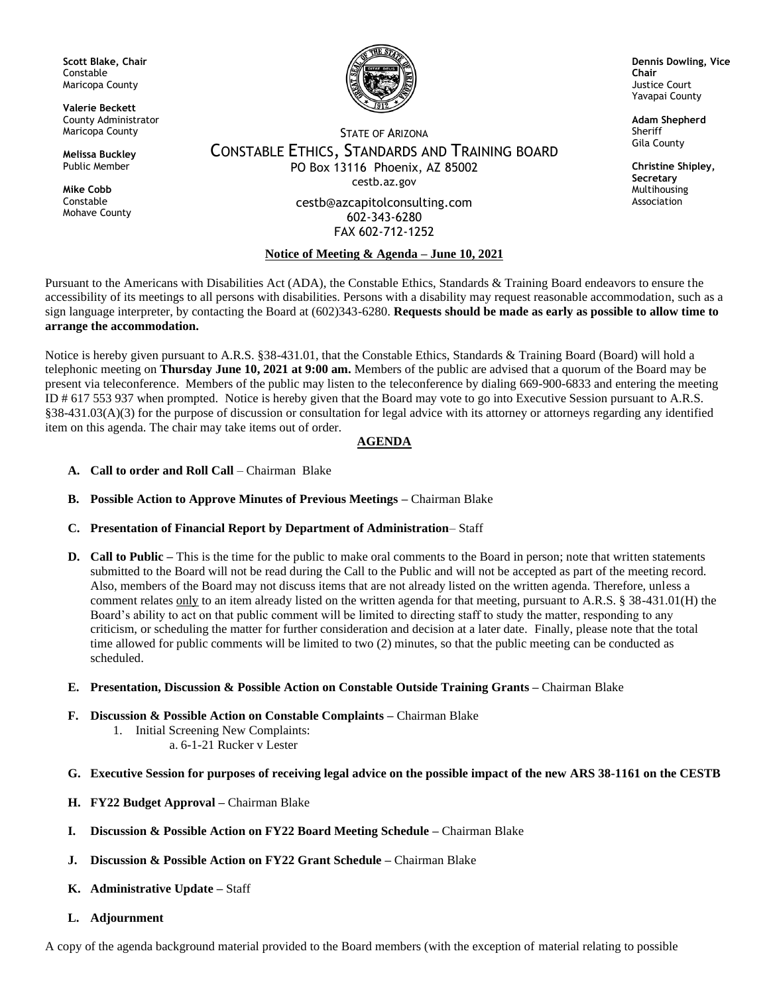**Scott Blake, Chair** Constable Maricopa County

**Valerie Beckett** County Administrator Maricopa County

**Melissa Buckley** Public Member

**Mike Cobb** Constable Mohave County



**Dennis Dowling, Vice Chair** Justice Court Yavapai County

> **Adam Shepherd** Sheriff Gila County

**Christine Shipley, Secretary** Multihousing Association

## STATE OF ARIZONA CONSTABLE ETHICS, STANDARDS AND TRAINING BOARD PO Box 13116 Phoenix, AZ 85002 cestb.az.gov

cestb@azcapitolconsulting.com 602-343-6280 FAX 602-712-1252

## **Notice of Meeting & Agenda – June 10, 2021**

Pursuant to the Americans with Disabilities Act (ADA), the Constable Ethics, Standards & Training Board endeavors to ensure the accessibility of its meetings to all persons with disabilities. Persons with a disability may request reasonable accommodation, such as a sign language interpreter, by contacting the Board at (602)343-6280. **Requests should be made as early as possible to allow time to arrange the accommodation.**

Notice is hereby given pursuant to A.R.S. §38-431.01, that the Constable Ethics, Standards & Training Board (Board) will hold a telephonic meeting on **Thursday June 10, 2021 at 9:00 am.** Members of the public are advised that a quorum of the Board may be present via teleconference. Members of the public may listen to the teleconference by dialing 669-900-6833 and entering the meeting ID # 617 553 937 when prompted. Notice is hereby given that the Board may vote to go into Executive Session pursuant to A.R.S. §38-431.03(A)(3) for the purpose of discussion or consultation for legal advice with its attorney or attorneys regarding any identified item on this agenda. The chair may take items out of order.

## **AGENDA**

- **A. Call to order and Roll Call** Chairman Blake
- **B. Possible Action to Approve Minutes of Previous Meetings –** Chairman Blake
- **C. Presentation of Financial Report by Department of Administration** Staff
- **D. Call to Public –** This is the time for the public to make oral comments to the Board in person; note that written statements submitted to the Board will not be read during the Call to the Public and will not be accepted as part of the meeting record. Also, members of the Board may not discuss items that are not already listed on the written agenda. Therefore, unless a comment relates only to an item already listed on the written agenda for that meeting, pursuant to A.R.S. § 38-431.01(H) the Board's ability to act on that public comment will be limited to directing staff to study the matter, responding to any criticism, or scheduling the matter for further consideration and decision at a later date. Finally, please note that the total time allowed for public comments will be limited to two (2) minutes, so that the public meeting can be conducted as scheduled.
- **E. Presentation, Discussion & Possible Action on Constable Outside Training Grants –** Chairman Blake
- **F. Discussion & Possible Action on Constable Complaints –** Chairman Blake
	- 1. Initial Screening New Complaints:
		- a. 6-1-21 Rucker v Lester
- **G. Executive Session for purposes of receiving legal advice on the possible impact of the new ARS 38-1161 on the CESTB**
- **H. FY22 Budget Approval –** Chairman Blake
- **I. Discussion & Possible Action on FY22 Board Meeting Schedule –** Chairman Blake
- **J. Discussion & Possible Action on FY22 Grant Schedule –** Chairman Blake
- **K. Administrative Update –** Staff
- **L. Adjournment**

A copy of the agenda background material provided to the Board members (with the exception of material relating to possible